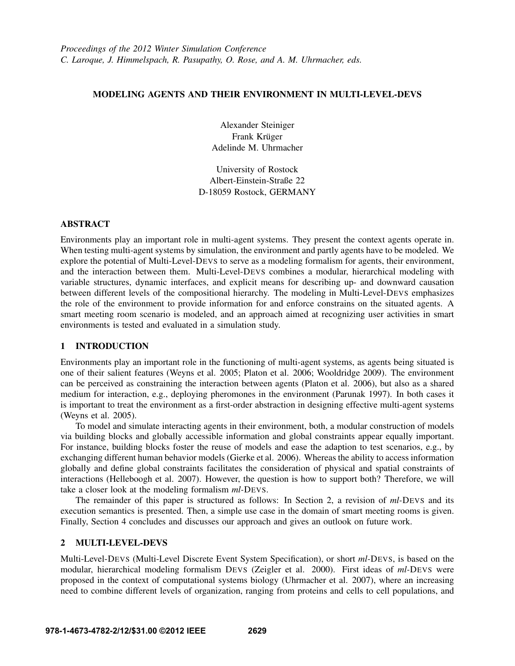## MODELING AGENTS AND THEIR ENVIRONMENT IN MULTI-LEVEL-DEVS

Alexander Steiniger Frank Krüger Adelinde M. Uhrmacher

University of Rostock Albert-Einstein-Straße 22 D-18059 Rostock, GERMANY

### ABSTRACT

Environments play an important role in multi-agent systems. They present the context agents operate in. When testing multi-agent systems by simulation, the environment and partly agents have to be modeled. We explore the potential of Multi-Level-DEVS to serve as a modeling formalism for agents, their environment, and the interaction between them. Multi-Level-DEVS combines a modular, hierarchical modeling with variable structures, dynamic interfaces, and explicit means for describing up- and downward causation between different levels of the compositional hierarchy. The modeling in Multi-Level-DEVS emphasizes the role of the environment to provide information for and enforce constrains on the situated agents. A smart meeting room scenario is modeled, and an approach aimed at recognizing user activities in smart environments is tested and evaluated in a simulation study.

# 1 INTRODUCTION

Environments play an important role in the functioning of multi-agent systems, as agents being situated is one of their salient features (Weyns et al. 2005; Platon et al. 2006; Wooldridge 2009). The environment can be perceived as constraining the interaction between agents (Platon et al. 2006), but also as a shared medium for interaction, e.g., deploying pheromones in the environment (Parunak 1997). In both cases it is important to treat the environment as a first-order abstraction in designing effective multi-agent systems (Weyns et al. 2005).

To model and simulate interacting agents in their environment, both, a modular construction of models via building blocks and globally accessible information and global constraints appear equally important. For instance, building blocks foster the reuse of models and ease the adaption to test scenarios, e.g., by exchanging different human behavior models (Gierke et al. 2006). Whereas the ability to access information globally and define global constraints facilitates the consideration of physical and spatial constraints of interactions (Helleboogh et al. 2007). However, the question is how to support both? Therefore, we will take a closer look at the modeling formalism *ml-*DEVS.

The remainder of this paper is structured as follows: In Section 2, a revision of *ml-*DEVS and its execution semantics is presented. Then, a simple use case in the domain of smart meeting rooms is given. Finally, Section 4 concludes and discusses our approach and gives an outlook on future work.

# 2 MULTI-LEVEL-DEVS

Multi-Level-DEVS (Multi-Level Discrete Event System Specification), or short *ml-*DEVS, is based on the modular, hierarchical modeling formalism DEVS (Zeigler et al. 2000). First ideas of *ml-*DEVS were proposed in the context of computational systems biology (Uhrmacher et al. 2007), where an increasing need to combine different levels of organization, ranging from proteins and cells to cell populations, and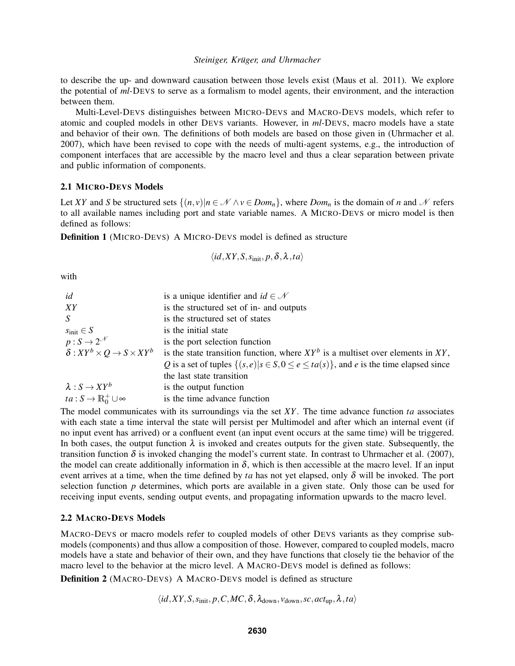to describe the up- and downward causation between those levels exist (Maus et al. 2011). We explore the potential of *ml-*DEVS to serve as a formalism to model agents, their environment, and the interaction between them.

Multi-Level-DEVS distinguishes between MICRO-DEVS and MACRO-DEVS models, which refer to atomic and coupled models in other DEVS variants. However, in *ml-*DEVS, macro models have a state and behavior of their own. The definitions of both models are based on those given in (Uhrmacher et al. 2007), which have been revised to cope with the needs of multi-agent systems, e.g., the introduction of component interfaces that are accessible by the macro level and thus a clear separation between private and public information of components.

### 2.1 MICRO-DEVS Models

Let *XY* and *S* be structured sets  $\{(n, v) | n \in \mathcal{N} \land v \in Dom_n\}$ , where  $Dom_n$  is the domain of *n* and N refers to all available names including port and state variable names. A MICRO-DEVS or micro model is then defined as follows:

Definition 1 (MICRO-DEVS) A MICRO-DEVS model is defined as structure

$$
\langle id, XY, S, s_{\text{init}}, p, \delta, \lambda, ta \rangle
$$

with

| id                                                | is a unique identifier and $id \in \mathcal{N}$                                               |
|---------------------------------------------------|-----------------------------------------------------------------------------------------------|
| XY                                                | is the structured set of in- and outputs                                                      |
| S                                                 | is the structured set of states                                                               |
| $s_{\text{init}} \in S$                           | is the initial state                                                                          |
| $p: S \rightarrow 2^{\mathcal{N}}$                | is the port selection function                                                                |
| $\delta: XY^b \times Q \rightarrow S \times XY^b$ | is the state transition function, where $XY^b$ is a multiset over elements in XY,             |
|                                                   | Q is a set of tuples $\{(s,e) s\in S, 0 \le e \le ta(s)\}\$ , and e is the time elapsed since |
|                                                   | the last state transition                                                                     |
| $\lambda: S \rightarrow XY^b$                     | is the output function                                                                        |
| $ta: S \to \mathbb{R}_0^+ \cup \infty$            | is the time advance function                                                                  |
|                                                   |                                                                                               |

The model communicates with its surroundings via the set *XY*. The time advance function *ta* associates with each state a time interval the state will persist per Multimodel and after which an internal event (if no input event has arrived) or a confluent event (an input event occurs at the same time) will be triggered. In both cases, the output function  $\lambda$  is invoked and creates outputs for the given state. Subsequently, the transition function  $\delta$  is invoked changing the model's current state. In contrast to Uhrmacher et al. (2007), the model can create additionally information in  $\delta$ , which is then accessible at the macro level. If an input event arrives at a time, when the time defined by *ta* has not yet elapsed, only  $\delta$  will be invoked. The port selection function *p* determines, which ports are available in a given state. Only those can be used for receiving input events, sending output events, and propagating information upwards to the macro level.

### 2.2 MACRO-DEVS Models

MACRO-DEVS or macro models refer to coupled models of other DEVS variants as they comprise submodels (components) and thus allow a composition of those. However, compared to coupled models, macro models have a state and behavior of their own, and they have functions that closely tie the behavior of the macro level to the behavior at the micro level. A MACRO-DEVS model is defined as follows:

Definition 2 (MACRO-DEVS) A MACRO-DEVS model is defined as structure

 $\langle id, XY, S, s_{\text{init}}, p, C, MC, \delta, \lambda_{\text{down}}, v_{\text{down}}, sc, act_{\text{up}}, \lambda, ta \rangle$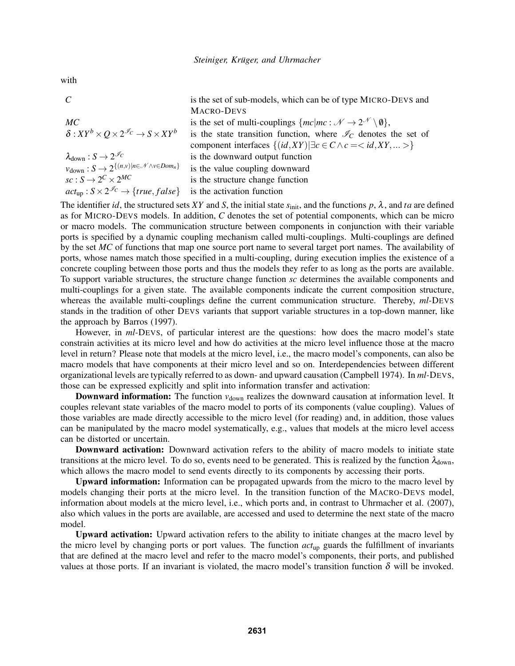with

*C* is the set of sub-models, which can be of type MICRO-DEVS and MACRO-DEVS

| MC                                                                                                     | is the set of multi-couplings $\{mc mc: \mathcal{N} \rightarrow 2^{\mathcal{N}} \setminus \emptyset\}$ , |
|--------------------------------------------------------------------------------------------------------|----------------------------------------------------------------------------------------------------------|
| $\delta: XY^b \times Q \times 2^{\mathcal{I}_C} \rightarrow S \times XY^b$                             | is the state transition function, where $\mathcal{I}_C$ denotes the set of                               |
|                                                                                                        | component interfaces $\{(id, XY)   \exists c \in C \land c = < id, XY,  >\}$                             |
| $\lambda_{\text{down}}: S \rightarrow 2^{\mathscr{I}_C}$                                               | is the downward output function                                                                          |
| $v_{\text{down}}: S \rightarrow 2^{\{(n,v) n\in\mathcal{N}\wedge v\in Dom_n\}}$                        | is the value coupling downward                                                                           |
| $sc: S \rightarrow 2^C \times 2^{MC}$                                                                  | is the structure change function                                                                         |
| $act_{\text{un}}: S \times 2^{\mathcal{I}_C} \rightarrow \{ true, false \}$ is the activation function |                                                                                                          |
|                                                                                                        |                                                                                                          |

The identifier *id*, the structured sets *XY* and *S*, the initial state  $s_{\text{init}}$ , and the functions  $p$ ,  $\lambda$ , and *ta* are defined as for MICRO-DEVS models. In addition, *C* denotes the set of potential components, which can be micro or macro models. The communication structure between components in conjunction with their variable ports is specified by a dynamic coupling mechanism called multi-couplings. Multi-couplings are defined by the set *MC* of functions that map one source port name to several target port names. The availability of ports, whose names match those specified in a multi-coupling, during execution implies the existence of a concrete coupling between those ports and thus the models they refer to as long as the ports are available. To support variable structures, the structure change function *sc* determines the available components and multi-couplings for a given state. The available components indicate the current composition structure, whereas the available multi-couplings define the current communication structure. Thereby, *ml-*DEVS stands in the tradition of other DEVS variants that support variable structures in a top-down manner, like the approach by Barros (1997).

However, in *ml-*DEVS, of particular interest are the questions: how does the macro model's state constrain activities at its micro level and how do activities at the micro level influence those at the macro level in return? Please note that models at the micro level, i.e., the macro model's components, can also be macro models that have components at their micro level and so on. Interdependencies between different organizational levels are typically referred to as down- and upward causation (Campbell 1974). In *ml-*DEVS, those can be expressed explicitly and split into information transfer and activation:

**Downward information:** The function  $v_{down}$  realizes the downward causation at information level. It couples relevant state variables of the macro model to ports of its components (value coupling). Values of those variables are made directly accessible to the micro level (for reading) and, in addition, those values can be manipulated by the macro model systematically, e.g., values that models at the micro level access can be distorted or uncertain.

**Downward activation:** Downward activation refers to the ability of macro models to initiate state transitions at the micro level. To do so, events need to be generated. This is realized by the function  $\lambda_{\text{down}}$ , which allows the macro model to send events directly to its components by accessing their ports.

Upward information: Information can be propagated upwards from the micro to the macro level by models changing their ports at the micro level. In the transition function of the MACRO-DEVS model, information about models at the micro level, i.e., which ports and, in contrast to Uhrmacher et al. (2007), also which values in the ports are available, are accessed and used to determine the next state of the macro model.

Upward activation: Upward activation refers to the ability to initiate changes at the macro level by the micro level by changing ports or port values. The function *act*up guards the fulfillment of invariants that are defined at the macro level and refer to the macro model's components, their ports, and published values at those ports. If an invariant is violated, the macro model's transition function  $\delta$  will be invoked.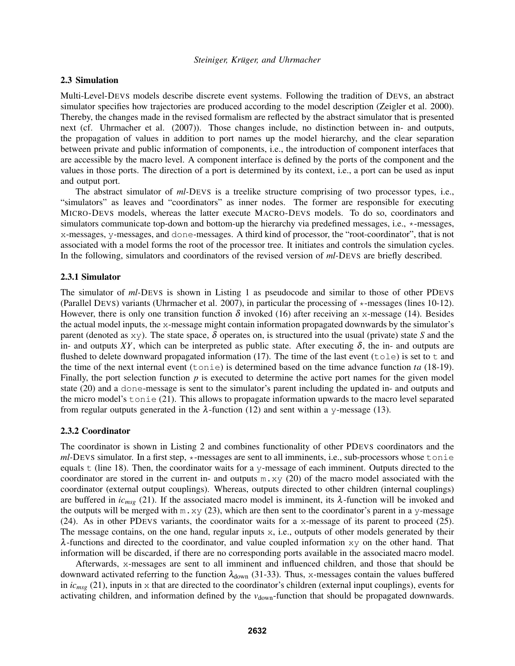### 2.3 Simulation

Multi-Level-DEVS models describe discrete event systems. Following the tradition of DEVS, an abstract simulator specifies how trajectories are produced according to the model description (Zeigler et al. 2000). Thereby, the changes made in the revised formalism are reflected by the abstract simulator that is presented next (cf. Uhrmacher et al. (2007)). Those changes include, no distinction between in- and outputs, the propagation of values in addition to port names up the model hierarchy, and the clear separation between private and public information of components, i.e., the introduction of component interfaces that are accessible by the macro level. A component interface is defined by the ports of the component and the values in those ports. The direction of a port is determined by its context, i.e., a port can be used as input and output port.

The abstract simulator of *ml-*DEVS is a treelike structure comprising of two processor types, i.e., "simulators" as leaves and "coordinators" as inner nodes. The former are responsible for executing MICRO-DEVS models, whereas the latter execute MACRO-DEVS models. To do so, coordinators and simulators communicate top-down and bottom-up the hierarchy via predefined messages, i.e.,  $\star$ -messages, x-messages, y-messages, and done-messages. A third kind of processor, the "root-coordinator", that is not associated with a model forms the root of the processor tree. It initiates and controls the simulation cycles. In the following, simulators and coordinators of the revised version of *ml-*DEVS are briefly described.

## 2.3.1 Simulator

The simulator of *ml-*DEVS is shown in Listing 1 as pseudocode and similar to those of other PDEVS (Parallel DEVS) variants (Uhrmacher et al. 2007), in particular the processing of \*-messages (lines 10-12). However, there is only one transition function  $\delta$  invoked (16) after receiving an x-message (14). Besides the actual model inputs, the x-message might contain information propagated downwards by the simulator's parent (denoted as  $xy$ ). The state space,  $\delta$  operates on, is structured into the usual (private) state *S* and the in- and outputs *XY*, which can be interpreted as public state. After executing  $\delta$ , the in- and outputs are flushed to delete downward propagated information (17). The time of the last event ( $\text{tole})$  is set to  $\text{t}$  and the time of the next internal event (tonie) is determined based on the time advance function *ta* (18-19). Finally, the port selection function *p* is executed to determine the active port names for the given model state (20) and a done-message is sent to the simulator's parent including the updated in- and outputs and the micro model's tonie (21). This allows to propagate information upwards to the macro level separated from regular outputs generated in the  $\lambda$ -function (12) and sent within a y-message (13).

#### 2.3.2 Coordinator

The coordinator is shown in Listing 2 and combines functionality of other PDEVS coordinators and the *ml-*DEVS simulator. In a first step, \*-messages are sent to all imminents, i.e., sub-processors whose tonie equals  $\pm$  (line 18). Then, the coordinator waits for a y-message of each imminent. Outputs directed to the coordinator are stored in the current in- and outputs  $m \times y$  (20) of the macro model associated with the coordinator (external output couplings). Whereas, outputs directed to other children (internal couplings) are buffered in  $ic<sub>msg</sub>$  (21). If the associated macro model is imminent, its  $\lambda$ -function will be invoked and the outputs will be merged with  $m$ . xy (23), which are then sent to the coordinator's parent in a y-message (24). As in other PDEVS variants, the coordinator waits for a x-message of its parent to proceed (25). The message contains, on the one hand, regular inputs x, i.e., outputs of other models generated by their  $\lambda$ -functions and directed to the coordinator, and value coupled information  $xy$  on the other hand. That information will be discarded, if there are no corresponding ports available in the associated macro model.

Afterwards, x-messages are sent to all imminent and influenced children, and those that should be downward activated referring to the function  $\lambda_{down}$  (31-33). Thus, x-messages contain the values buffered in *icmsg* (21), inputs in x that are directed to the coordinator's children (external input couplings), events for activating children, and information defined by the  $v_{down}$ -function that should be propagated downwards.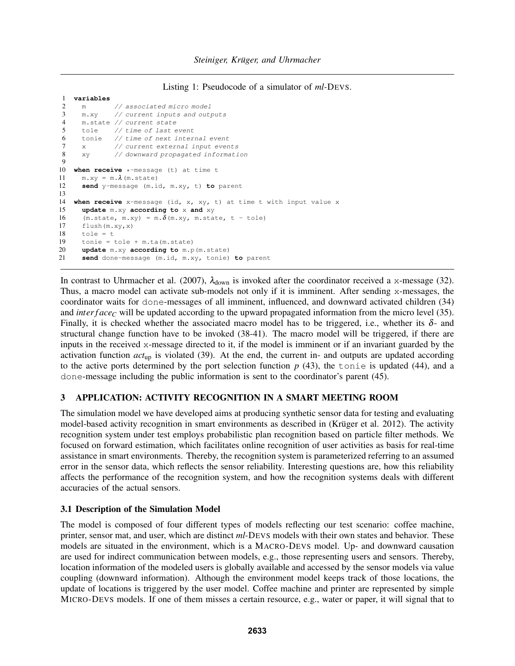#### Listing 1: Pseudocode of a simulator of *ml-*DEVS.

```
1 variables
     m // associated micro model
3 m.xy // current inputs and outputs
4 m.state // current state
5 tole // time of last event
6 tonie // time of next internal event
7 x // current external input events
8 xy // downward propagated information
9
10 when receive *-message (t) at time t
11 m.xy = m.\lambda (m.state)<br>12 send v-message (m.i)send y-message (m.id, m.xy, t) to parent
13
14 when receive x-message (id, x, xy, t) at time t with input value x
15 update m.xy according to x and xy
16 (m.state, m.xy) = m.\delta(m.xy, m.state, t - tole)<br>17 flush(m xy, x)
     flush(m,xy,x)18 tole = t
19 tonie = tole + m.ta(m.state)
20 update m.xy according to m.p(m.state)
21 send done-message (m.id, m.xy, tonie) to parent
```
In contrast to Uhrmacher et al. (2007),  $\lambda_{down}$  is invoked after the coordinator received a x-message (32). Thus, a macro model can activate sub-models not only if it is imminent. After sending x-messages, the coordinator waits for done-messages of all imminent, influenced, and downward activated children (34) and *inter face*<sub>*C*</sub> will be updated according to the upward propagated information from the micro level (35). Finally, it is checked whether the associated macro model has to be triggered, i.e., whether its  $\delta$ - and structural change function have to be invoked (38-41). The macro model will be triggered, if there are inputs in the received  $x$ -message directed to it, if the model is imminent or if an invariant guarded by the activation function *act*up is violated (39). At the end, the current in- and outputs are updated according to the active ports determined by the port selection function  $p(43)$ , the tonie is updated  $(44)$ , and a done-message including the public information is sent to the coordinator's parent (45).

## 3 APPLICATION: ACTIVITY RECOGNITION IN A SMART MEETING ROOM

The simulation model we have developed aims at producing synthetic sensor data for testing and evaluating model-based activity recognition in smart environments as described in (Krüger et al. 2012). The activity recognition system under test employs probabilistic plan recognition based on particle filter methods. We focused on forward estimation, which facilitates online recognition of user activities as basis for real-time assistance in smart environments. Thereby, the recognition system is parameterized referring to an assumed error in the sensor data, which reflects the sensor reliability. Interesting questions are, how this reliability affects the performance of the recognition system, and how the recognition systems deals with different accuracies of the actual sensors.

## 3.1 Description of the Simulation Model

The model is composed of four different types of models reflecting our test scenario: coffee machine, printer, sensor mat, and user, which are distinct *ml-*DEVS models with their own states and behavior. These models are situated in the environment, which is a MACRO-DEVS model. Up- and downward causation are used for indirect communication between models, e.g., those representing users and sensors. Thereby, location information of the modeled users is globally available and accessed by the sensor models via value coupling (downward information). Although the environment model keeps track of those locations, the update of locations is triggered by the user model. Coffee machine and printer are represented by simple MICRO-DEVS models. If one of them misses a certain resource, e.g., water or paper, it will signal that to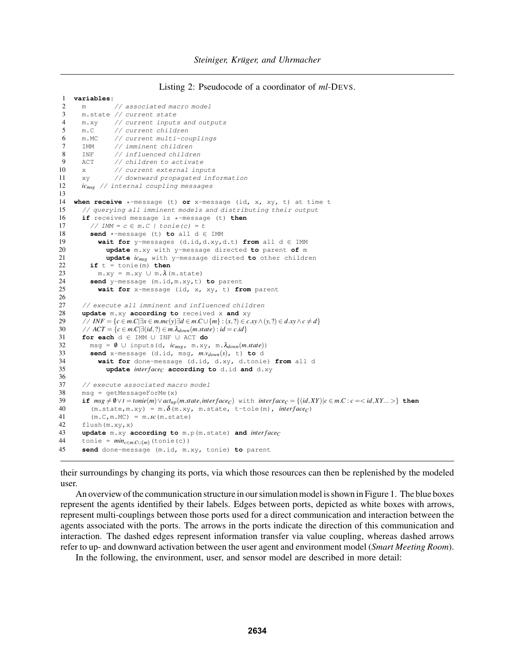Listing 2: Pseudocode of a coordinator of *ml-*DEVS.

```
1 variables:
 2 m // associated macro model
 3 m.state // current state
 4 m.xy // current inputs and outputs
 5 m.C // current children
 6 m.MC // current multi-couplings
 7 IMM // imminent children
 8 INF // influenced children<br>9 \frac{1}{2} \frac{1}{2} \frac{1}{2} \frac{1}{2} \frac{1}{2} \frac{1}{2} \frac{1}{2} \frac{1}{2} \frac{1}{2} \frac{1}{2} \frac{1}{2} \frac{1}{2} \frac{1}{2} \frac{1}{2} \frac{1}{2} \frac{1}{2} \frac{1}{2} \frac{1}{2} \frac{1}{2}9 ACT // children to activate<br>10 \times // current external inn
        x // current external inputs
11 xy // downward propagated information
12 icmsg // internal coupling messages
13
14 when receive *-message (t) or x-message (id, x, xy, t) at time t
15 // querying all imminent models and distributing their output
16 if received message is *-message (t) then<br>17 // TMM = C \in m \cap L tonie (C) = t// IMM = c \in m.C | tonie(c) = t
18 send *-message (t) to all d \in IMM19 wait for y-messages (d.id,d.xy,d.t) from all d ∈ IMM
20 update m.xy with y-message directed to parent of m
21 update i_{Cmsg} with y-message directed to other children<br>
i_{Cm} if t = \text{tonic}(m) then
22 if t = \text{tonie(m)} then<br>23 m. xy = m. xy || m. \lambda ||
              m.xy = m.xy \cup m.\lambda (m.state)
24 send y-message (m.id, m.xy, t) to parent<br>25 wait for x-message (id. x. xy. t) from
              wait for x-message (id, x, xy, t) from parent
26
27 \frac{27}{28} // execute all imminent and influenced children<br>28 update m.xy according to received x and xy
        28 update m.xy according to received x and xy
29 // INF = {c \in m.C \vert \exists x \in m.mc(y) \exists d \in m.C \cup \{m\} : (x, ?) \in c. xy \land (y, ?) \in d. xy \land c \neq d\}<br>30 // ACT = \{c \in m.C \vert \exists (id, ?) \in m \lambda : (m \text{ state}) : id = c \text{ id}\}30 // ACT = \{c \in m.C \mid \exists (id, ?) \in m.\lambda_{down}(m.state) : id = c.id\}<br>31 for each d \in \text{IMM} \cup \text{INF} \cup \text{ACT} do
        31 for each d ∈ IMM ∪ INF ∪ ACT do
32 msg = \emptyset U inputs(d, ic_{msg}, m.xy, m.\lambda_{down}(m.state))<br>33 send x-message (d.id. msg. m.v_{down}(s), t) to d
           33 send x-message (d.id, msg, m.vdown(s), t) to d
34 wait for done-message (d.id, d.xy, d.tonie) from all d
                 update interface<sub>C</sub> according to d.id and d.xy
36
37 // execute associated macro model
38 msg = getMessageForMe(x)
39 if msg \neq \emptyset \lor t = tonie(m) \lor act_{up}(m.state, interface_C) with interface_C = \{(id, XY)|c \in m.C : c = < id, XY... >\} then<br>40 (m.state.m.xy) = m. \delta (m.xy. m.state.t-tole(m). interfacec)
40 (m.state,m.xy) = m.\delta(m.xy, m.state, t - tole(m), interface_C)<br>41 (m C m MC) = m sc (m state)
            (m.C,m.MC) = m.sc(m.state)42 flush(m.xy,x)
43 update m.xy according to m.p(m.state) and interface<sub>C</sub>
44 tonie = min_{c \in m.C \cup \{m\}}(tonie(c)))45 send done-message (m.id, m.xy, tonie) to parent
```
their surroundings by changing its ports, via which those resources can then be replenished by the modeled user.

An overview of the communication structure in our simulation model is shown in Figure 1. The blue boxes represent the agents identified by their labels. Edges between ports, depicted as white boxes with arrows, represent multi-couplings between those ports used for a direct communication and interaction between the agents associated with the ports. The arrows in the ports indicate the direction of this communication and interaction. The dashed edges represent information transfer via value coupling, whereas dashed arrows refer to up- and downward activation between the user agent and environment model (*Smart Meeting Room*).

In the following, the environment, user, and sensor model are described in more detail: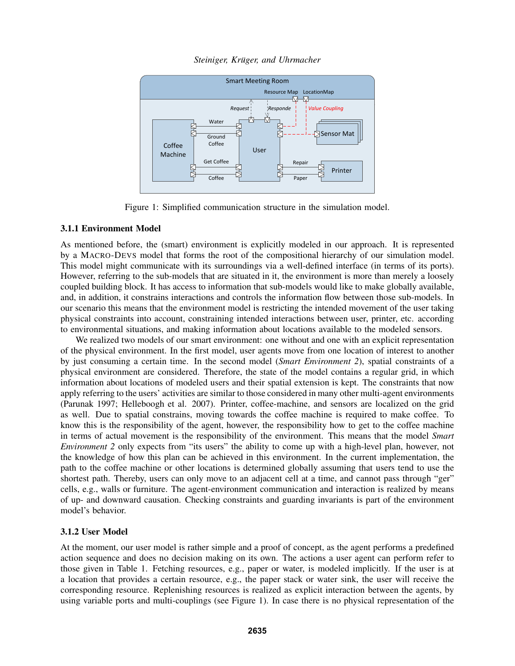

*Steiniger, Kruger, and Uhrmacher ¨*

Figure 1: Simplified communication structure in the simulation model.

# 3.1.1 Environment Model

As mentioned before, the (smart) environment is explicitly modeled in our approach. It is represented by a MACRO-DEVS model that forms the root of the compositional hierarchy of our simulation model. This model might communicate with its surroundings via a well-defined interface (in terms of its ports). However, referring to the sub-models that are situated in it, the environment is more than merely a loosely coupled building block. It has access to information that sub-models would like to make globally available, and, in addition, it constrains interactions and controls the information flow between those sub-models. In our scenario this means that the environment model is restricting the intended movement of the user taking physical constraints into account, constraining intended interactions between user, printer, etc. according to environmental situations, and making information about locations available to the modeled sensors.

We realized two models of our smart environment: one without and one with an explicit representation of the physical environment. In the first model, user agents move from one location of interest to another by just consuming a certain time. In the second model (*Smart Environment 2*), spatial constraints of a physical environment are considered. Therefore, the state of the model contains a regular grid, in which information about locations of modeled users and their spatial extension is kept. The constraints that now apply referring to the users' activities are similar to those considered in many other multi-agent environments (Parunak 1997; Helleboogh et al. 2007). Printer, coffee-machine, and sensors are localized on the grid as well. Due to spatial constrains, moving towards the coffee machine is required to make coffee. To know this is the responsibility of the agent, however, the responsibility how to get to the coffee machine in terms of actual movement is the responsibility of the environment. This means that the model *Smart Environment 2* only expects from "its users" the ability to come up with a high-level plan, however, not the knowledge of how this plan can be achieved in this environment. In the current implementation, the path to the coffee machine or other locations is determined globally assuming that users tend to use the shortest path. Thereby, users can only move to an adjacent cell at a time, and cannot pass through "ger" cells, e.g., walls or furniture. The agent-environment communication and interaction is realized by means of up- and downward causation. Checking constraints and guarding invariants is part of the environment model's behavior.

# 3.1.2 User Model

At the moment, our user model is rather simple and a proof of concept, as the agent performs a predefined action sequence and does no decision making on its own. The actions a user agent can perform refer to those given in Table 1. Fetching resources, e.g., paper or water, is modeled implicitly. If the user is at a location that provides a certain resource, e.g., the paper stack or water sink, the user will receive the corresponding resource. Replenishing resources is realized as explicit interaction between the agents, by using variable ports and multi-couplings (see Figure 1). In case there is no physical representation of the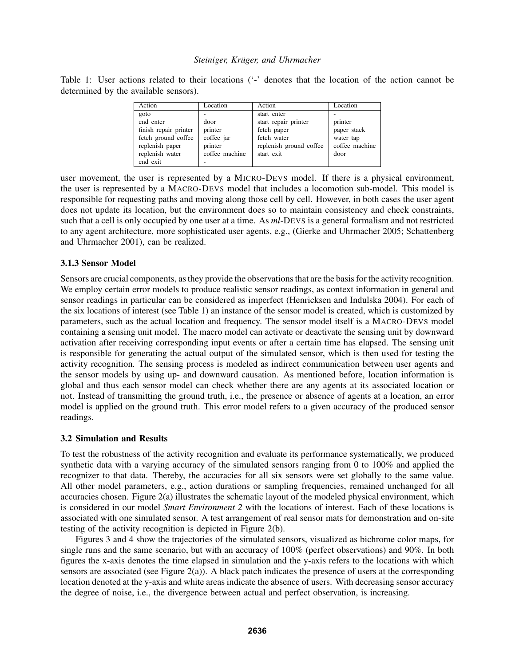Table 1: User actions related to their locations ( $\cdot$  denotes that the location of the action cannot be determined by the available sensors).

| Action                | Location       | Action                  | Location       |
|-----------------------|----------------|-------------------------|----------------|
| goto                  |                | start enter             |                |
| end enter             | door           | start repair printer    | printer        |
| finish repair printer | printer        | fetch paper             | paper stack    |
| fetch ground coffee   | coffee jar     | fetch water             | water tap      |
| replenish paper       | printer        | replenish ground coffee | coffee machine |
| replenish water       | coffee machine | start exit              | door           |
| end exit              |                |                         |                |

user movement, the user is represented by a MICRO-DEVS model. If there is a physical environment, the user is represented by a MACRO-DEVS model that includes a locomotion sub-model. This model is responsible for requesting paths and moving along those cell by cell. However, in both cases the user agent does not update its location, but the environment does so to maintain consistency and check constraints, such that a cell is only occupied by one user at a time. As *ml-*DEVS is a general formalism and not restricted to any agent architecture, more sophisticated user agents, e.g., (Gierke and Uhrmacher 2005; Schattenberg and Uhrmacher 2001), can be realized.

# 3.1.3 Sensor Model

Sensors are crucial components, as they provide the observations that are the basis for the activity recognition. We employ certain error models to produce realistic sensor readings, as context information in general and sensor readings in particular can be considered as imperfect (Henricksen and Indulska 2004). For each of the six locations of interest (see Table 1) an instance of the sensor model is created, which is customized by parameters, such as the actual location and frequency. The sensor model itself is a MACRO-DEVS model containing a sensing unit model. The macro model can activate or deactivate the sensing unit by downward activation after receiving corresponding input events or after a certain time has elapsed. The sensing unit is responsible for generating the actual output of the simulated sensor, which is then used for testing the activity recognition. The sensing process is modeled as indirect communication between user agents and the sensor models by using up- and downward causation. As mentioned before, location information is global and thus each sensor model can check whether there are any agents at its associated location or not. Instead of transmitting the ground truth, i.e., the presence or absence of agents at a location, an error model is applied on the ground truth. This error model refers to a given accuracy of the produced sensor readings.

#### 3.2 Simulation and Results

To test the robustness of the activity recognition and evaluate its performance systematically, we produced synthetic data with a varying accuracy of the simulated sensors ranging from 0 to 100% and applied the recognizer to that data. Thereby, the accuracies for all six sensors were set globally to the same value. All other model parameters, e.g., action durations or sampling frequencies, remained unchanged for all accuracies chosen. Figure 2(a) illustrates the schematic layout of the modeled physical environment, which is considered in our model *Smart Environment 2* with the locations of interest. Each of these locations is associated with one simulated sensor. A test arrangement of real sensor mats for demonstration and on-site testing of the activity recognition is depicted in Figure 2(b).

Figures 3 and 4 show the trajectories of the simulated sensors, visualized as bichrome color maps, for single runs and the same scenario, but with an accuracy of 100% (perfect observations) and 90%. In both figures the x-axis denotes the time elapsed in simulation and the y-axis refers to the locations with which sensors are associated (see Figure 2(a)). A black patch indicates the presence of users at the corresponding location denoted at the y-axis and white areas indicate the absence of users. With decreasing sensor accuracy the degree of noise, i.e., the divergence between actual and perfect observation, is increasing.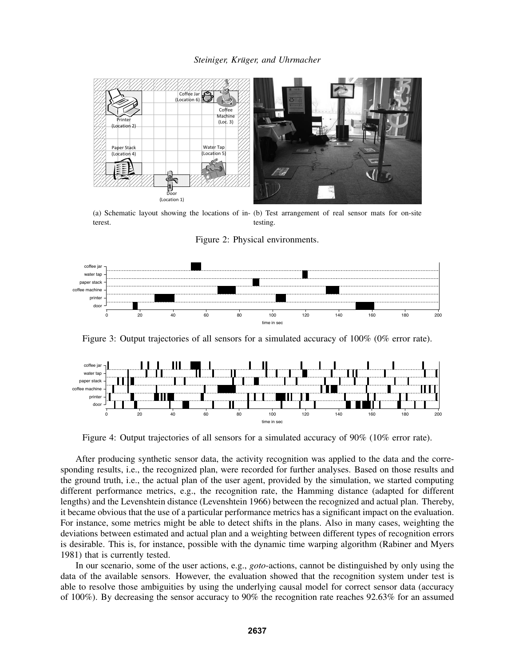

(a) Schematic layout showing the locations of in-(b) Test arrangement of real sensor mats for on-site terest. testing.

Figure 2: Physical environments.



Figure 3: Output trajectories of all sensors for a simulated accuracy of 100% (0% error rate).



Figure 4: Output trajectories of all sensors for a simulated accuracy of 90% (10% error rate).

After producing synthetic sensor data, the activity recognition was applied to the data and the corresponding results, i.e., the recognized plan, were recorded for further analyses. Based on those results and the ground truth, i.e., the actual plan of the user agent, provided by the simulation, we started computing different performance metrics, e.g., the recognition rate, the Hamming distance (adapted for different lengths) and the Levenshtein distance (Levenshtein 1966) between the recognized and actual plan. Thereby, it became obvious that the use of a particular performance metrics has a significant impact on the evaluation. For instance, some metrics might be able to detect shifts in the plans. Also in many cases, weighting the deviations between estimated and actual plan and a weighting between different types of recognition errors is desirable. This is, for instance, possible with the dynamic time warping algorithm (Rabiner and Myers 1981) that is currently tested.

In our scenario, some of the user actions, e.g., *goto*-actions, cannot be distinguished by only using the data of the available sensors. However, the evaluation showed that the recognition system under test is able to resolve those ambiguities by using the underlying causal model for correct sensor data (accuracy of 100%). By decreasing the sensor accuracy to 90% the recognition rate reaches 92.63% for an assumed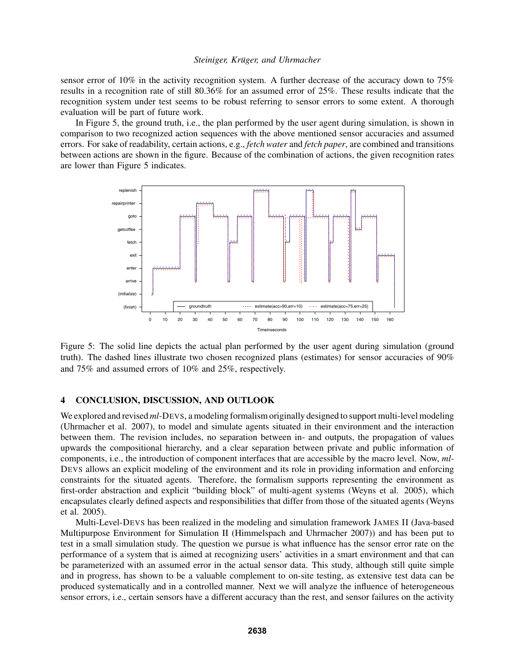sensor error of 10% in the activity recognition system. A further decrease of the accuracy down to 75% results in a recognition rate of still 80.36% for an assumed error of 25%. These results indicate that the recognition system under test seems to be robust referring to sensor errors to some extent. A thorough evaluation will be part of future work.

In Figure 5, the ground truth, i.e., the plan performed by the user agent during simulation, is shown in comparison to two recognized action sequences with the above mentioned sensor accuracies and assumed errors. For sake of readability, certain actions, e.g., *fetch water* and *fetch paper*, are combined and transitions between actions are shown in the figure. Because of the combination of actions, the given recognition rates are lower than Figure 5 indicates.



Figure 5: The solid line depicts the actual plan performed by the user agent during simulation (ground truth). The dashed lines illustrate two chosen recognized plans (estimates) for sensor accuracies of 90% and 75% and assumed errors of 10% and 25%, respectively.

### 4 CONCLUSION, DISCUSSION, AND OUTLOOK

We explored and revised  $m$ -DEVS, a modeling formalism originally designed to support multi-level modeling (Uhrmacher et al. 2007), to model and simulate agents situated in their environment and the interaction between them. The revision includes, no separation between in- and outputs, the propagation of values upwards the compositional hierarchy, and a clear separation between private and public information of components, i.e., the introduction of component interfaces that are accessible by the macro level. Now, *ml-*DEVS allows an explicit modeling of the environment and its role in providing information and enforcing constraints for the situated agents. Therefore, the formalism supports representing the environment as first-order abstraction and explicit "building block" of multi-agent systems (Weyns et al. 2005), which encapsulates clearly defined aspects and responsibilities that differ from those of the situated agents (Weyns et al. 2005).

Multi-Level-DEVS has been realized in the modeling and simulation framework JAMES II (Java-based Multipurpose Environment for Simulation II (Himmelspach and Uhrmacher 2007)) and has been put to test in a small simulation study. The question we pursue is what influence has the sensor error rate on the performance of a system that is aimed at recognizing users' activities in a smart environment and that can be parameterized with an assumed error in the actual sensor data. This study, although still quite simple and in progress, has shown to be a valuable complement to on-site testing, as extensive test data can be produced systematically and in a controlled manner. Next we will analyze the influence of heterogeneous sensor errors, i.e., certain sensors have a different accuracy than the rest, and sensor failures on the activity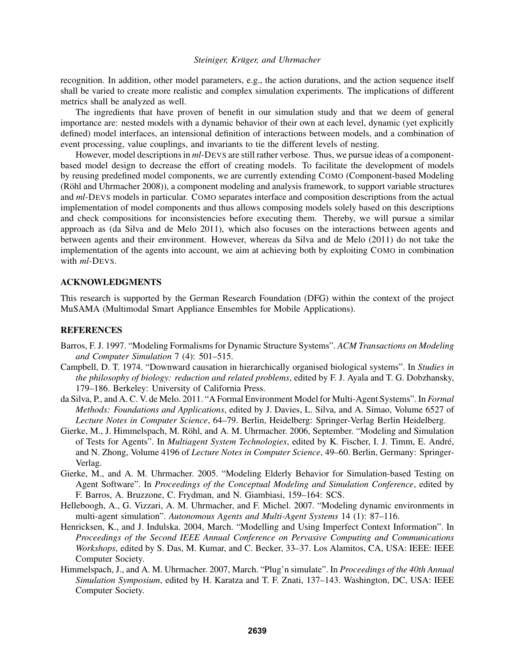recognition. In addition, other model parameters, e.g., the action durations, and the action sequence itself shall be varied to create more realistic and complex simulation experiments. The implications of different metrics shall be analyzed as well.

The ingredients that have proven of benefit in our simulation study and that we deem of general importance are: nested models with a dynamic behavior of their own at each level, dynamic (yet explicitly defined) model interfaces, an intensional definition of interactions between models, and a combination of event processing, value couplings, and invariants to tie the different levels of nesting.

However, model descriptions in *ml-*DEVS are still rather verbose. Thus, we pursue ideas of a componentbased model design to decrease the effort of creating models. To facilitate the development of models by reusing predefined model components, we are currently extending COMO (Component-based Modeling (Röhl and Uhrmacher 2008)), a component modeling and analysis framework, to support variable structures and *ml-*DEVS models in particular. COMO separates interface and composition descriptions from the actual implementation of model components and thus allows composing models solely based on this descriptions and check compositions for inconsistencies before executing them. Thereby, we will pursue a similar approach as (da Silva and de Melo 2011), which also focuses on the interactions between agents and between agents and their environment. However, whereas da Silva and de Melo (2011) do not take the implementation of the agents into account, we aim at achieving both by exploiting COMO in combination with *ml-*DEVS.

# ACKNOWLEDGMENTS

This research is supported by the German Research Foundation (DFG) within the context of the project MuSAMA (Multimodal Smart Appliance Ensembles for Mobile Applications).

### **REFERENCES**

- Barros, F. J. 1997. "Modeling Formalisms for Dynamic Structure Systems". *ACM Transactions on Modeling and Computer Simulation* 7 (4): 501–515.
- Campbell, D. T. 1974. "Downward causation in hierarchically organised biological systems". In *Studies in the philosophy of biology: reduction and related problems*, edited by F. J. Ayala and T. G. Dobzhansky, 179–186. Berkeley: University of California Press.
- da Silva, P., and A. C. V. de Melo. 2011. "A Formal Environment Model for Multi-Agent Systems". In *Formal Methods: Foundations and Applications*, edited by J. Davies, L. Silva, and A. Simao, Volume 6527 of *Lecture Notes in Computer Science*, 64–79. Berlin, Heidelberg: Springer-Verlag Berlin Heidelberg.
- Gierke, M., J. Himmelspach, M. Röhl, and A. M. Uhrmacher. 2006, September. "Modeling and Simulation of Tests for Agents". In *Multiagent System Technologies*, edited by K. Fischer, I. J. Timm, E. Andre,´ and N. Zhong, Volume 4196 of *Lecture Notes in Computer Science*, 49–60. Berlin, Germany: Springer-Verlag.
- Gierke, M., and A. M. Uhrmacher. 2005. "Modeling Elderly Behavior for Simulation-based Testing on Agent Software". In *Proceedings of the Conceptual Modeling and Simulation Conference*, edited by F. Barros, A. Bruzzone, C. Frydman, and N. Giambiasi, 159–164: SCS.
- Helleboogh, A., G. Vizzari, A. M. Uhrmacher, and F. Michel. 2007. "Modeling dynamic environments in multi-agent simulation". *Autonomous Agents and Multi-Agent Systems* 14 (1): 87–116.
- Henricksen, K., and J. Indulska. 2004, March. "Modelling and Using Imperfect Context Information". In *Proceedings of the Second IEEE Annual Conference on Pervasive Computing and Communications Workshops*, edited by S. Das, M. Kumar, and C. Becker, 33–37. Los Alamitos, CA, USA: IEEE: IEEE Computer Society.
- Himmelspach, J., and A. M. Uhrmacher. 2007, March. "Plug'n simulate". In *Proceedings of the 40th Annual Simulation Symposium*, edited by H. Karatza and T. F. Znati, 137–143. Washington, DC, USA: IEEE Computer Society.